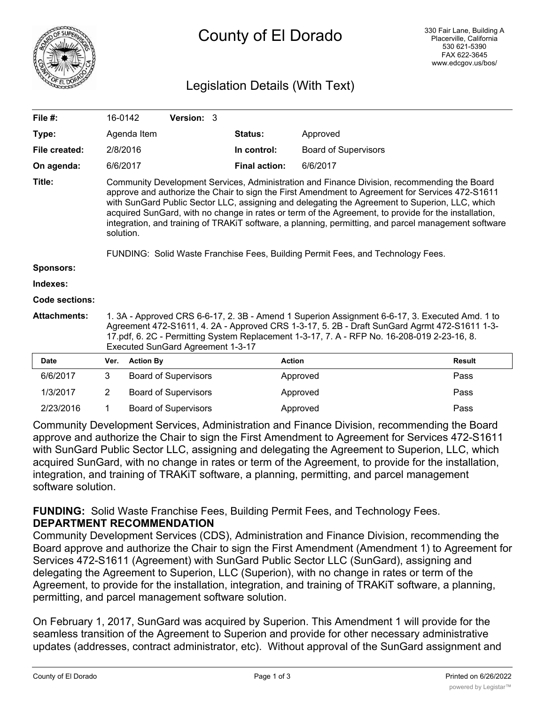

# Legislation Details (With Text)

| File $#$ :          | 16-0142                                                                                                                                                                                                                                                                                                                                                                                                                                                                                                                       |                  | Version: 3                  |  |                      |                             |               |
|---------------------|-------------------------------------------------------------------------------------------------------------------------------------------------------------------------------------------------------------------------------------------------------------------------------------------------------------------------------------------------------------------------------------------------------------------------------------------------------------------------------------------------------------------------------|------------------|-----------------------------|--|----------------------|-----------------------------|---------------|
| Type:               |                                                                                                                                                                                                                                                                                                                                                                                                                                                                                                                               | Agenda Item      |                             |  | Status:              | Approved                    |               |
| File created:       | 2/8/2016                                                                                                                                                                                                                                                                                                                                                                                                                                                                                                                      |                  |                             |  | In control:          | <b>Board of Supervisors</b> |               |
| On agenda:          | 6/6/2017                                                                                                                                                                                                                                                                                                                                                                                                                                                                                                                      |                  |                             |  | <b>Final action:</b> | 6/6/2017                    |               |
| Title:              | Community Development Services, Administration and Finance Division, recommending the Board<br>approve and authorize the Chair to sign the First Amendment to Agreement for Services 472-S1611<br>with SunGard Public Sector LLC, assigning and delegating the Agreement to Superion, LLC, which<br>acquired SunGard, with no change in rates or term of the Agreement, to provide for the installation,<br>integration, and training of TRAKiT software, a planning, permitting, and parcel management software<br>solution. |                  |                             |  |                      |                             |               |
|                     | FUNDING: Solid Waste Franchise Fees, Building Permit Fees, and Technology Fees.                                                                                                                                                                                                                                                                                                                                                                                                                                               |                  |                             |  |                      |                             |               |
| <b>Sponsors:</b>    |                                                                                                                                                                                                                                                                                                                                                                                                                                                                                                                               |                  |                             |  |                      |                             |               |
| Indexes:            |                                                                                                                                                                                                                                                                                                                                                                                                                                                                                                                               |                  |                             |  |                      |                             |               |
| Code sections:      |                                                                                                                                                                                                                                                                                                                                                                                                                                                                                                                               |                  |                             |  |                      |                             |               |
| <b>Attachments:</b> | 1. 3A - Approved CRS 6-6-17, 2. 3B - Amend 1 Superion Assignment 6-6-17, 3. Executed Amd. 1 to<br>Agreement 472-S1611, 4. 2A - Approved CRS 1-3-17, 5. 2B - Draft SunGard Agrmt 472-S1611 1-3-<br>17.pdf, 6. 2C - Permitting System Replacement 1-3-17, 7. A - RFP No. 16-208-019 2-23-16, 8.<br><b>Executed SunGard Agreement 1-3-17</b>                                                                                                                                                                                     |                  |                             |  |                      |                             |               |
| <b>Date</b>         | Ver.                                                                                                                                                                                                                                                                                                                                                                                                                                                                                                                          | <b>Action By</b> |                             |  | <b>Action</b>        |                             | <b>Result</b> |
| 6/6/2017            | 3                                                                                                                                                                                                                                                                                                                                                                                                                                                                                                                             |                  | <b>Board of Supervisors</b> |  |                      | Approved                    | Pass          |
| 1/3/2017            | $\overline{2}$                                                                                                                                                                                                                                                                                                                                                                                                                                                                                                                |                  | <b>Board of Supervisors</b> |  |                      | Approved                    | Pass          |
| 2/23/2016           | 1                                                                                                                                                                                                                                                                                                                                                                                                                                                                                                                             |                  | <b>Board of Supervisors</b> |  |                      | Approved                    | Pass          |

Community Development Services, Administration and Finance Division, recommending the Board approve and authorize the Chair to sign the First Amendment to Agreement for Services 472-S1611 with SunGard Public Sector LLC, assigning and delegating the Agreement to Superion, LLC, which acquired SunGard, with no change in rates or term of the Agreement, to provide for the installation, integration, and training of TRAKiT software, a planning, permitting, and parcel management software solution.

**FUNDING:** Solid Waste Franchise Fees, Building Permit Fees, and Technology Fees. **DEPARTMENT RECOMMENDATION**

Community Development Services (CDS), Administration and Finance Division, recommending the Board approve and authorize the Chair to sign the First Amendment (Amendment 1) to Agreement for Services 472-S1611 (Agreement) with SunGard Public Sector LLC (SunGard), assigning and delegating the Agreement to Superion, LLC (Superion), with no change in rates or term of the Agreement, to provide for the installation, integration, and training of TRAKiT software, a planning, permitting, and parcel management software solution.

On February 1, 2017, SunGard was acquired by Superion. This Amendment 1 will provide for the seamless transition of the Agreement to Superion and provide for other necessary administrative updates (addresses, contract administrator, etc). Without approval of the SunGard assignment and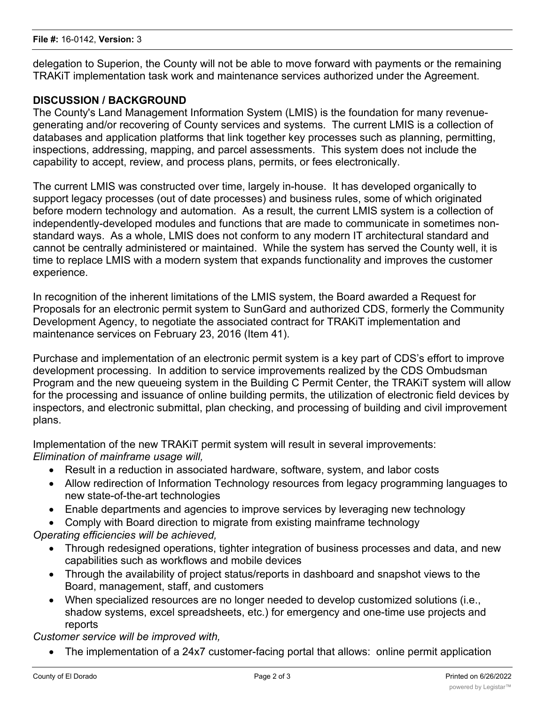delegation to Superion, the County will not be able to move forward with payments or the remaining TRAKiT implementation task work and maintenance services authorized under the Agreement.

# **DISCUSSION / BACKGROUND**

The County's Land Management Information System (LMIS) is the foundation for many revenuegenerating and/or recovering of County services and systems. The current LMIS is a collection of databases and application platforms that link together key processes such as planning, permitting, inspections, addressing, mapping, and parcel assessments. This system does not include the capability to accept, review, and process plans, permits, or fees electronically.

The current LMIS was constructed over time, largely in-house. It has developed organically to support legacy processes (out of date processes) and business rules, some of which originated before modern technology and automation. As a result, the current LMIS system is a collection of independently-developed modules and functions that are made to communicate in sometimes nonstandard ways. As a whole, LMIS does not conform to any modern IT architectural standard and cannot be centrally administered or maintained. While the system has served the County well, it is time to replace LMIS with a modern system that expands functionality and improves the customer experience.

In recognition of the inherent limitations of the LMIS system, the Board awarded a Request for Proposals for an electronic permit system to SunGard and authorized CDS, formerly the Community Development Agency, to negotiate the associated contract for TRAKiT implementation and maintenance services on February 23, 2016 (Item 41).

Purchase and implementation of an electronic permit system is a key part of CDS's effort to improve development processing. In addition to service improvements realized by the CDS Ombudsman Program and the new queueing system in the Building C Permit Center, the TRAKiT system will allow for the processing and issuance of online building permits, the utilization of electronic field devices by inspectors, and electronic submittal, plan checking, and processing of building and civil improvement plans.

Implementation of the new TRAKiT permit system will result in several improvements: *Elimination of mainframe usage will,*

- · Result in a reduction in associated hardware, software, system, and labor costs
- · Allow redirection of Information Technology resources from legacy programming languages to new state-of-the-art technologies
- · Enable departments and agencies to improve services by leveraging new technology
- · Comply with Board direction to migrate from existing mainframe technology

*Operating efficiencies will be achieved,*

- Through redesigned operations, tighter integration of business processes and data, and new capabilities such as workflows and mobile devices
- · Through the availability of project status/reports in dashboard and snapshot views to the Board, management, staff, and customers
- · When specialized resources are no longer needed to develop customized solutions (i.e., shadow systems, excel spreadsheets, etc.) for emergency and one-time use projects and reports

*Customer service will be improved with,*

The implementation of a 24x7 customer-facing portal that allows: online permit application